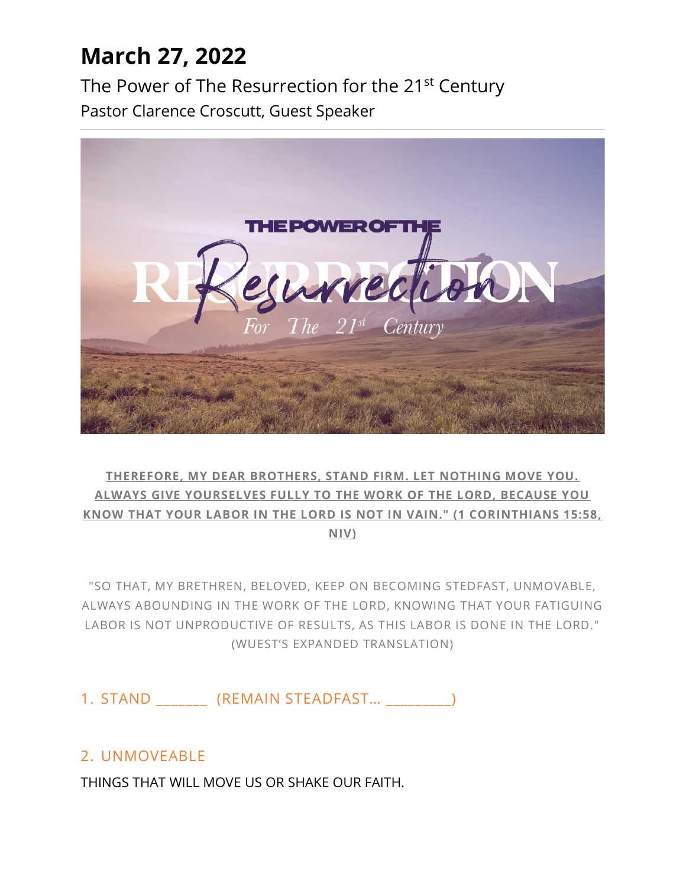## **March 27, 2022**

The Power of The Resurrection for the 21<sup>st</sup> Century Pastor Clarence Croscutt, Guest Speaker



#### **THEREFORE, MY DEAR BROTHERS, STAND FIRM. LET NOTHING MOVE YOU. ALWAYS GIVE YOURSELVES FULLY TO THE WORK OF THE LORD, BECAUSE YOU KNOW THAT YOUR LABOR IN THE LORD IS NOT IN VAIN." (1 CORINTHIANS 15:58, NIV)**

"SO THAT, MY BRETHREN, BELOVED, KEEP ON BECOMING STEDFAST, UNMOVABLE, ALWAYS ABOUNDING IN THE WORK OF THE LORD, KNOWING THAT YOUR FATIGUING LABOR IS NOT UNPRODUCTIVE OF RESULTS, AS THIS LABOR IS DONE IN THE LORD." (WUEST'S EXPANDED TRANSLATION)

1. STAND (REMAIN STEADFAST...

### 2. UNMOVEABLE

THINGS THAT WILL MOVE US OR SHAKE OUR FAITH.